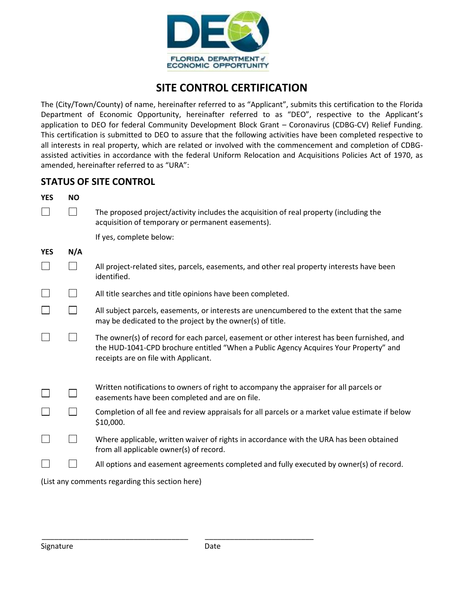

## **SITE CONTROL CERTIFICATION**

The (City/Town/County) of name, hereinafter referred to as "Applicant", submits this certification to the Florida Department of Economic Opportunity, hereinafter referred to as "DEO", respective to the Applicant's application to DEO for federal Community Development Block Grant – Coronavirus (CDBG-CV) Relief Funding. This certification is submitted to DEO to assure that the following activities have been completed respective to all interests in real property, which are related or involved with the commencement and completion of CDBGassisted activities in accordance with the federal Uniform Relocation and Acquisitions Policies Act of 1970, as amended, hereinafter referred to as "URA":

## **STATUS OF SITE CONTROL**

| <b>YES</b>                                      | <b>NO</b> |                                                                                                                                                                                                                            |
|-------------------------------------------------|-----------|----------------------------------------------------------------------------------------------------------------------------------------------------------------------------------------------------------------------------|
|                                                 | $\Box$    | The proposed project/activity includes the acquisition of real property (including the<br>acquisition of temporary or permanent easements).                                                                                |
|                                                 |           | If yes, complete below:                                                                                                                                                                                                    |
| <b>YES</b>                                      | N/A       |                                                                                                                                                                                                                            |
|                                                 |           | All project-related sites, parcels, easements, and other real property interests have been<br>identified.                                                                                                                  |
|                                                 |           | All title searches and title opinions have been completed.                                                                                                                                                                 |
|                                                 |           | All subject parcels, easements, or interests are unencumbered to the extent that the same<br>may be dedicated to the project by the owner(s) of title.                                                                     |
|                                                 |           | The owner(s) of record for each parcel, easement or other interest has been furnished, and<br>the HUD-1041-CPD brochure entitled "When a Public Agency Acquires Your Property" and<br>receipts are on file with Applicant. |
|                                                 |           | Written notifications to owners of right to accompany the appraiser for all parcels or<br>easements have been completed and are on file.                                                                                   |
|                                                 |           | Completion of all fee and review appraisals for all parcels or a market value estimate if below<br>\$10,000.                                                                                                               |
|                                                 |           | Where applicable, written waiver of rights in accordance with the URA has been obtained<br>from all applicable owner(s) of record.                                                                                         |
|                                                 |           | All options and easement agreements completed and fully executed by owner(s) of record.                                                                                                                                    |
| (List any comments regarding this section here) |           |                                                                                                                                                                                                                            |

\_\_\_\_\_\_\_\_\_\_\_\_\_\_\_\_\_\_\_\_\_\_\_\_\_\_\_\_\_\_\_\_\_\_\_ \_\_\_\_\_\_\_\_\_\_\_\_\_\_\_\_\_\_\_\_\_\_\_\_\_\_